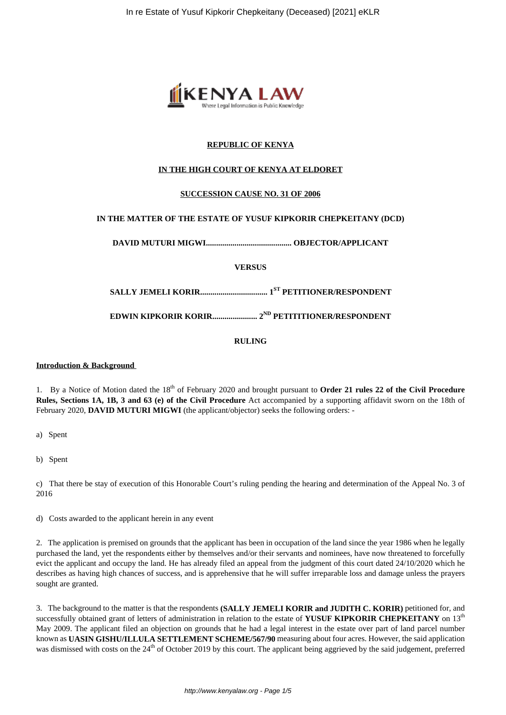

# **REPUBLIC OF KENYA**

# **IN THE HIGH COURT OF KENYA AT ELDORET**

## **SUCCESSION CAUSE NO. 31 OF 2006**

# **IN THE MATTER OF THE ESTATE OF YUSUF KIPKORIR CHEPKEITANY (DCD)**

**DAVID MUTURI MIGWI.......................................... OBJECTOR/APPLICANT**

**VERSUS**

**SALLY JEMELI KORIR................................. 1ST PETITIONER/RESPONDENT**

**EDWIN KIPKORIR KORIR...................... 2ND PETITITIONER/RESPONDENT**

**RULING**

## **Introduction & Background**

1. By a Notice of Motion dated the 18<sup>th</sup> of February 2020 and brought pursuant to **Order 21 rules 22 of the Civil Procedure Rules, Sections 1A, 1B, 3 and 63 (e) of the Civil Procedure** Act accompanied by a supporting affidavit sworn on the 18th of February 2020, **DAVID MUTURI MIGWI** (the applicant/objector) seeks the following orders: -

a) Spent

b) Spent

c) That there be stay of execution of this Honorable Court's ruling pending the hearing and determination of the Appeal No. 3 of 2016

d) Costs awarded to the applicant herein in any event

2. The application is premised on grounds that the applicant has been in occupation of the land since the year 1986 when he legally purchased the land, yet the respondents either by themselves and/or their servants and nominees, have now threatened to forcefully evict the applicant and occupy the land. He has already filed an appeal from the judgment of this court dated 24/10/2020 which he describes as having high chances of success, and is apprehensive that he will suffer irreparable loss and damage unless the prayers sought are granted.

3. The background to the matter is that the respondents **(SALLY JEMELI KORIR and JUDITH C. KORIR)** petitioned for, and successfully obtained grant of letters of administration in relation to the estate of YUSUF KIPKORIR CHEPKEITANY on 13<sup>th</sup> May 2009. The applicant filed an objection on grounds that he had a legal interest in the estate over part of land parcel number known as **UASIN GISHU/ILLULA SETTLEMENT SCHEME/567/90** measuring about four acres. However, the said application was dismissed with costs on the 24<sup>th</sup> of October 2019 by this court. The applicant being aggrieved by the said judgement, preferred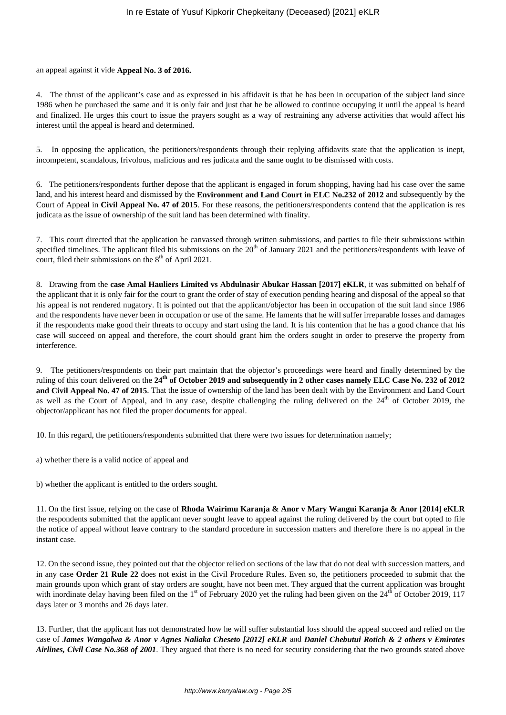## an appeal against it vide **Appeal No. 3 of 2016.**

4. The thrust of the applicant's case and as expressed in his affidavit is that he has been in occupation of the subject land since 1986 when he purchased the same and it is only fair and just that he be allowed to continue occupying it until the appeal is heard and finalized. He urges this court to issue the prayers sought as a way of restraining any adverse activities that would affect his interest until the appeal is heard and determined.

5. In opposing the application, the petitioners/respondents through their replying affidavits state that the application is inept, incompetent, scandalous, frivolous, malicious and res judicata and the same ought to be dismissed with costs.

6. The petitioners/respondents further depose that the applicant is engaged in forum shopping, having had his case over the same land, and his interest heard and dismissed by the **Environment and Land Court in ELC No.232 of 2012** and subsequently by the Court of Appeal in **Civil Appeal No. 47 of 2015**. For these reasons, the petitioners/respondents contend that the application is res judicata as the issue of ownership of the suit land has been determined with finality.

7. This court directed that the application be canvassed through written submissions, and parties to file their submissions within specified timelines. The applicant filed his submissions on the  $20<sup>th</sup>$  of January 2021 and the petitioners/respondents with leave of court, filed their submissions on the  $8<sup>th</sup>$  of April 2021.

8. Drawing from the **case Amal Hauliers Limited vs Abdulnasir Abukar Hassan [2017] eKLR**, it was submitted on behalf of the applicant that it is only fair for the court to grant the order of stay of execution pending hearing and disposal of the appeal so that his appeal is not rendered nugatory. It is pointed out that the applicant/objector has been in occupation of the suit land since 1986 and the respondents have never been in occupation or use of the same. He laments that he will suffer irreparable losses and damages if the respondents make good their threats to occupy and start using the land. It is his contention that he has a good chance that his case will succeed on appeal and therefore, the court should grant him the orders sought in order to preserve the property from interference.

9. The petitioners/respondents on their part maintain that the objector's proceedings were heard and finally determined by the ruling of this court delivered on the **24th of October 2019 and subsequently in 2 other cases namely ELC Case No. 232 of 2012 and Civil Appeal No. 47 of 2015**. That the issue of ownership of the land has been dealt with by the Environment and Land Court as well as the Court of Appeal, and in any case, despite challenging the ruling delivered on the  $24<sup>th</sup>$  of October 2019, the objector/applicant has not filed the proper documents for appeal.

10. In this regard, the petitioners/respondents submitted that there were two issues for determination namely;

a) whether there is a valid notice of appeal and

b) whether the applicant is entitled to the orders sought.

11. On the first issue, relying on the case of **Rhoda Wairimu Karanja & Anor v Mary Wangui Karanja & Anor [2014] eKLR** the respondents submitted that the applicant never sought leave to appeal against the ruling delivered by the court but opted to file the notice of appeal without leave contrary to the standard procedure in succession matters and therefore there is no appeal in the instant case.

12. On the second issue, they pointed out that the objector relied on sections of the law that do not deal with succession matters, and in any case **Order 21 Rule 22** does not exist in the Civil Procedure Rules. Even so, the petitioners proceeded to submit that the main grounds upon which grant of stay orders are sought, have not been met. They argued that the current application was brought with inordinate delay having been filed on the  $1<sup>st</sup>$  of February 2020 yet the ruling had been given on the  $24<sup>th</sup>$  of October 2019, 117 days later or 3 months and 26 days later.

13. Further, that the applicant has not demonstrated how he will suffer substantial loss should the appeal succeed and relied on the case of *James Wangalwa & Anor v Agnes Naliaka Cheseto [2012] eKLR* and *Daniel Chebutui Rotich & 2 others v Emirates Airlines, Civil Case No.368 of 2001*. They argued that there is no need for security considering that the two grounds stated above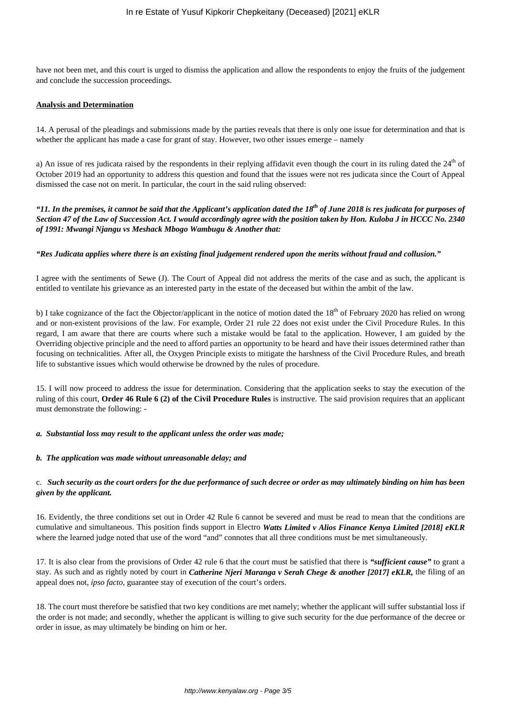have not been met, and this court is urged to dismiss the application and allow the respondents to enjoy the fruits of the judgement and conclude the succession proceedings.

## **Analysis and Determination**

14. A perusal of the pleadings and submissions made by the parties reveals that there is only one issue for determination and that is whether the applicant has made a case for grant of stay. However, two other issues emerge – namely

a) An issue of res judicata raised by the respondents in their replying affidavit even though the court in its ruling dated the  $24<sup>th</sup>$  of October 2019 had an opportunity to address this question and found that the issues were not res judicata since the Court of Appeal dismissed the case not on merit. In particular, the court in the said ruling observed:

*"11. In the premises, it cannot be said that the Applicant's application dated the 18th of June 2018 is res judicata for purposes of Section 47 of the Law of Succession Act. I would accordingly agree with the position taken by Hon. Kuloba J in HCCC No. 2340 of 1991: Mwangi Njangu vs Meshack Mbogo Wambugu & Another that:* 

## *"Res Judicata applies where there is an existing final judgement rendered upon the merits without fraud and collusion."*

I agree with the sentiments of Sewe (J). The Court of Appeal did not address the merits of the case and as such, the applicant is entitled to ventilate his grievance as an interested party in the estate of the deceased but within the ambit of the law.

b) I take cognizance of the fact the Objector/applicant in the notice of motion dated the  $18<sup>th</sup>$  of February 2020 has relied on wrong and or non-existent provisions of the law. For example, Order 21 rule 22 does not exist under the Civil Procedure Rules. In this regard, I am aware that there are courts where such a mistake would be fatal to the application. However, I am guided by the Overriding objective principle and the need to afford parties an opportunity to be heard and have their issues determined rather than focusing on technicalities. After all, the Oxygen Principle exists to mitigate the harshness of the Civil Procedure Rules, and breath life to substantive issues which would otherwise be drowned by the rules of procedure.

15. I will now proceed to address the issue for determination. Considering that the application seeks to stay the execution of the ruling of this court, **Order 46 Rule 6 (2) of the Civil Procedure Rules** is instructive. The said provision requires that an applicant must demonstrate the following: -

#### *a. Substantial loss may result to the applicant unless the order was made;*

#### *b. The application was made without unreasonable delay; and*

## c. *Such security as the court orders for the due performance of such decree or order as may ultimately binding on him has been given by the applicant.*

16. Evidently, the three conditions set out in Order 42 Rule 6 cannot be severed and must be read to mean that the conditions are cumulative and simultaneous. This position finds support in Electro *Watts Limited v Alios Finance Kenya Limited [2018] eKLR* where the learned judge noted that use of the word "and" connotes that all three conditions must be met simultaneously.

17. It is also clear from the provisions of Order 42 rule 6 that the court must be satisfied that there is *"sufficient cause"* to grant a stay. As such and as rightly noted by court in *Catherine Njeri Maranga v Serah Chege & another [2017] eKLR,* the filing of an appeal does not, *ipso facto*, guarantee stay of execution of the court's orders.

18. The court must therefore be satisfied that two key conditions are met namely; whether the applicant will suffer substantial loss if the order is not made; and secondly, whether the applicant is willing to give such security for the due performance of the decree or order in issue, as may ultimately be binding on him or her.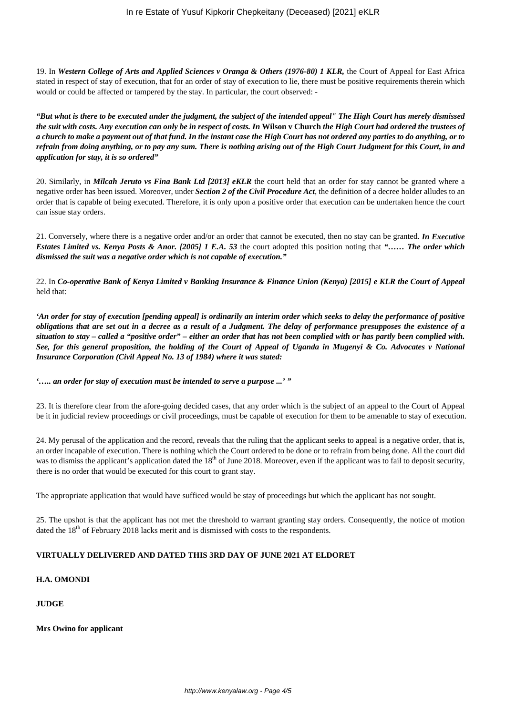19. In *Western College of Arts and Applied Sciences v Oranga & Others (1976-80) 1 KLR,* the Court of Appeal for East Africa stated in respect of stay of execution, that for an order of stay of execution to lie, there must be positive requirements therein which would or could be affected or tampered by the stay. In particular, the court observed: -

*"But what is there to be executed under the judgment, the subject of the intended appeal" The High Court has merely dismissed the suit with costs. Any execution can only be in respect of costs. In* **Wilson v Church** *the High Court had ordered the trustees of a church to make a payment out of that fund. In the instant case the High Court has not ordered any parties to do anything, or to refrain from doing anything, or to pay any sum. There is nothing arising out of the High Court Judgment for this Court, in and application for stay, it is so ordered"*

20. Similarly, in *Milcah Jeruto vs Fina Bank Ltd [2013] eKLR* the court held that an order for stay cannot be granted where a negative order has been issued. Moreover, under *Section 2 of the Civil Procedure Act*, the definition of a decree holder alludes to an order that is capable of being executed. Therefore, it is only upon a positive order that execution can be undertaken hence the court can issue stay orders.

21. Conversely, where there is a negative order and/or an order that cannot be executed, then no stay can be granted. *In Executive Estates Limited vs. Kenya Posts & Anor. [2005] 1 E.A. 53* the court adopted this position noting that *"…… The order which dismissed the suit was a negative order which is not capable of execution."*

22. In *Co-operative Bank of Kenya Limited v Banking Insurance & Finance Union (Kenya) [2015] e KLR the Court of Appeal* held that:

*'An order for stay of execution [pending appeal] is ordinarily an interim order which seeks to delay the performance of positive obligations that are set out in a decree as a result of a Judgment. The delay of performance presupposes the existence of a situation to stay – called a "positive order" – either an order that has not been complied with or has partly been complied with. See, for this general proposition, the holding of the Court of Appeal of Uganda in Mugenyi & Co. Advocates v National Insurance Corporation (Civil Appeal No. 13 of 1984) where it was stated:*

*'….. an order for stay of execution must be intended to serve a purpose ...' "* 

23. It is therefore clear from the afore-going decided cases, that any order which is the subject of an appeal to the Court of Appeal be it in judicial review proceedings or civil proceedings, must be capable of execution for them to be amenable to stay of execution.

24. My perusal of the application and the record, reveals that the ruling that the applicant seeks to appeal is a negative order, that is, an order incapable of execution. There is nothing which the Court ordered to be done or to refrain from being done. All the court did was to dismiss the applicant's application dated the 18<sup>th</sup> of June 2018. Moreover, even if the applicant was to fail to deposit security, there is no order that would be executed for this court to grant stay.

The appropriate application that would have sufficed would be stay of proceedings but which the applicant has not sought.

25. The upshot is that the applicant has not met the threshold to warrant granting stay orders. Consequently, the notice of motion dated the 18<sup>th</sup> of February 2018 lacks merit and is dismissed with costs to the respondents.

## **VIRTUALLY DELIVERED AND DATED THIS 3RD DAY OF JUNE 2021 AT ELDORET**

## **H.A. OMONDI**

## **JUDGE**

**Mrs Owino for applicant**